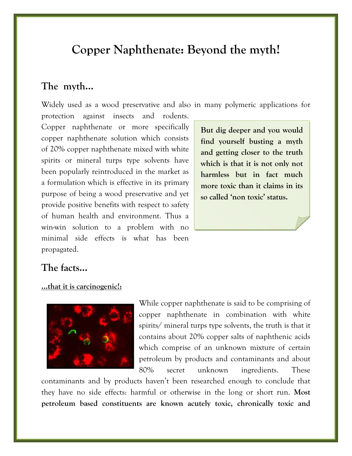# **Copper Naphthenate: Beyond the myth!**

# **The myth…**

Widely used as a wood preservative and also in many polymeric applications for

protection against insects and rodents. Copper naphthenate or more specifically copper naphthenate solution which consists of 20% copper naphthenate mixed with white spirits or mineral turps type solvents have been popularly reintroduced in the market as a formulation which is effective in its primary purpose of being a wood preservative and yet provide positive benefits with respect to safety of human health and environment. Thus a win-win solution to a problem with no minimal side effects is what has been propagated.

**But dig deeper and you would find yourself busting a myth and getting closer to the truth which is that it is not only not harmless but in fact much more toxic than it claims in its so called 'non toxic' status.** 

# **The facts…**

## **…that it is carcinogenic!:**



While copper naphthenate is said to be comprising of copper naphthenate in combination with white spirits/ mineral turps type solvents, the truth is that it contains about 20% copper salts of naphthenic acids which comprise of an unknown mixture of certain petroleum by products and contaminants and about 80% secret unknown ingredients. These

contaminants and by products haven't been researched enough to conclude that they have no side effects: harmful or otherwise in the long or short run. **Most petroleum based constituents are known acutely toxic, chronically toxic and**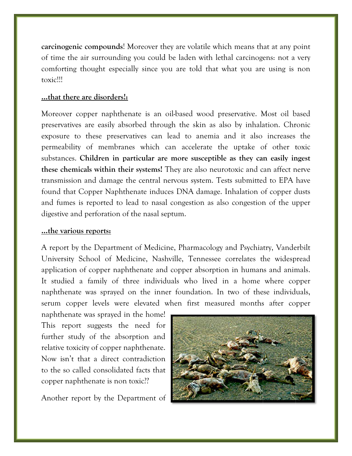**carcinogenic compounds!** Moreover they are volatile which means that at any point of time the air surrounding you could be laden with lethal carcinogens: not a very comforting thought especially since you are told that what you are using is non toxic!!!

### ...that there are disorders!:

Moreover copper naphthenate is an oil-based wood preservative. Most oil based preservatives are easily absorbed through the skin as also by inhalation. Chronic exposure to these preservatives can lead to anemia and it also increases the permeability of membranes which can accelerate the uptake of other toxic substances. Children in particular are more susceptible as they can easily ingest these chemicals within their systems! They are also neurotoxic and can affect nerve transmission and damage the central nervous system. Tests submitted to EPA have found that Copper Naphthenate induces DNA damage. Inhalation of copper dusts and fumes is reported to lead to nasal congestion as also congestion of the upper digestive and perforation of the nasal septum.

### ...the various reports:

A report by the Department of Medicine, Pharmacology and Psychiatry, Vanderbilt University School of Medicine, Nashville, Tennessee correlates the widespread application of copper naphthenate and copper absorption in humans and animals. It studied a family of three individuals who lived in a home where copper naphthenate was sprayed on the inner foundation. In two of these individuals, serum copper levels were elevated when first measured months after copper

naphthenate was sprayed in the home! This report suggests the need for further study of the absorption and relative toxicity of copper naphthenate. Now isn't that a direct contradiction to the so called consolidated facts that copper naphthenate is non toxic.??

Another report by the Department of

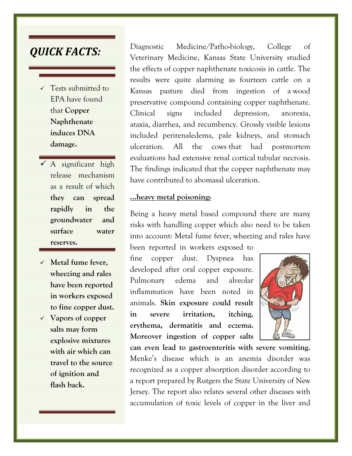# *QUICK FACTS:*

- $\checkmark$  Tests submitted to EPA have found that **Copper Naphthenate induces DNA damage.**
- $\checkmark$  A significant high release mechanism as a result of which **they can spread rapidly in the groundwater and surface water reserves.**
- 9 **Metal fume fever, wheezing and rales have been reported in workers exposed to fine copper dust.**
- 9 **Vapors of copper salts may form explosive mixtures with air which can travel to the source of ignition and flash back.**

Diagnostic Medicine/Patho-biology, College of Veterinary Medicine, Kansas State University studied the effects of copper naphthenate toxicosis in cattle. The results were quite alarming as fourteen cattle on a Kansas pasture died from ingestion of a wood preservative compound containing copper naphthenate. Clinical signs included depression, anorexia, ataxia, diarrhea, and recumbency. Grossly visible lesions included perirenaledema, pale kidneys, and stomach ulceration. All the cows that had postmortem evaluations had extensive renal cortical tubular necrosis. The findings indicated that the copper naphthenate may have contributed to abomasal ulceration.

#### **…heavy metal poisoning:**

Being a heavy metal based compound there are many risks with handling copper which also need to be taken into account: Metal fume fever, wheezing and rales have

been reported in workers exposed to fine copper dust. Dyspnea has developed after oral copper exposure. Pulmonary edema and alveolar inflammation have been noted in animals. **Skin exposure could result in severe irritation, itching, erythema, dermatitis and eczema. Moreover ingestion of copper salts** 



**can even lead to gastroenteritis with severe vomiting.** Menke's disease which is an anemia disorder was recognized as a copper absorption disorder according to a report prepared by Rutgers the State University of New Jersey. The report also relates several other diseases with accumulation of toxic levels of copper in the liver and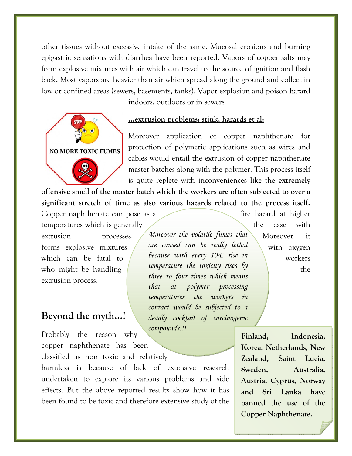other tissues without excessive intake of the same. Mucosal erosions and burning epigastric sensations with diarrhea have been reported. Vapors of copper salts may form explosive mixtures with air which can travel to the source of ignition and flash back. Most vapors are heavier than air which spread along the ground and collect in low or confined areas (sewers, basements, tanks). Vapor explosion and poison hazard indoors, outdoors or in sewers

**NO MORE TOXIC FUMES** 

#### **…extrusion problems: stink, hazards et al:**

*temperatures the workers in contact would be subjected to a deadly cocktail of carcinogenic* 

Moreover application of copper naphthenate for protection of polymeric applications such as wires and cables would entail the extrusion of copper naphthenate master batches along with the polymer. This process itself is quite replete with inconveniences like the **extremely** 

**offensive smell of the master batch which the workers are often subjected to over a significant stretch of time as also various hazards related to the process itself.**

*compounds!!!* 

extrusion processes. Moreover the volatile fumes that Moreover it *are caused can be really lethal because with every 10oC rise in temperature the toxicity rises by three to four times which means that at polymer processing*  Copper naphthenate can pose as a fire hazard at higher temperatures which is generally the case with forms explosive mixtures  $\ell$  are caused can be really lethal with oxygen which can be fatal to  $\ell$  because with every IVC rise in  $\ell$  workers who might be handling  $t$  imperature the toxicity rises by  $t$  the extrusion process.

## **Beyond the myth…!**

Probably the reason why copper naphthenate has been

classified as non toxic and relatively

harmless is because of lack of extensive research undertaken to explore its various problems and side effects. But the above reported results show how it has been found to be toxic and therefore extensive study of the

**Finland, Indonesia, Korea, Netherlands, New Zealand, Saint Lucia, Sweden, Australia, Austria, Cyprus, Norway and Sri Lanka have banned the use of the Copper Naphthenate.**